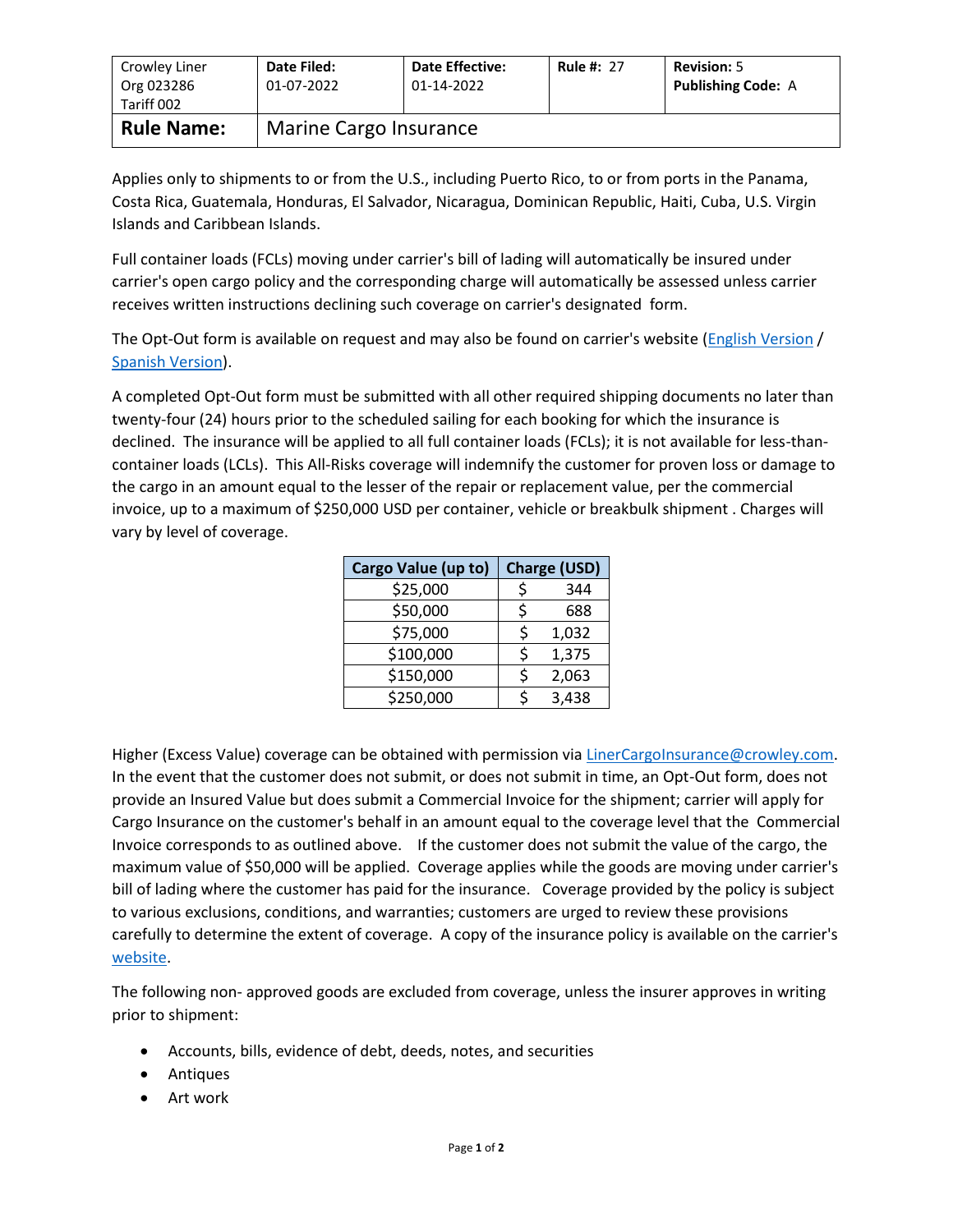| Crowley Liner<br>Org 023286<br>Tariff 002 | Date Filed:<br>01-07-2022 | <b>Date Effective:</b><br>01-14-2022 | <b>Rule #: 27</b> | <b>Revision: 5</b><br><b>Publishing Code: A</b> |  |
|-------------------------------------------|---------------------------|--------------------------------------|-------------------|-------------------------------------------------|--|
| <b>Rule Name:</b>                         | Marine Cargo Insurance    |                                      |                   |                                                 |  |

Applies only to shipments to or from the U.S., including Puerto Rico, to or from ports in the Panama, Costa Rica, Guatemala, Honduras, El Salvador, Nicaragua, Dominican Republic, Haiti, Cuba, U.S. Virgin Islands and Caribbean Islands.

Full container loads (FCLs) moving under carrier's bill of lading will automatically be insured under carrier's open cargo policy and the corresponding charge will automatically be assessed unless carrier receives written instructions declining such coverage on carrier's designated form.

The Opt-Out form is available on request and may also be found on carrier's website [\(English Version](http://www.crowley.com/content/download/31386/232069/version/1/file/Cargo+Insurance+Opt-Out+UPDATED+-+ENGLISH.PDF) / [Spanish Version\)](http://www.crowley.com/content/download/31385/232065/version/1/file/Formulario+de++Rechazo+de+Seguro+de+Carga+REVISADO.PDF).

A completed Opt-Out form must be submitted with all other required shipping documents no later than twenty-four (24) hours prior to the scheduled sailing for each booking for which the insurance is declined. The insurance will be applied to all full container loads (FCLs); it is not available for less-thancontainer loads (LCLs). This All-Risks coverage will indemnify the customer for proven loss or damage to the cargo in an amount equal to the lesser of the repair or replacement value, per the commercial invoice, up to a maximum of \$250,000 USD per container, vehicle or breakbulk shipment . Charges will vary by level of coverage.

| Cargo Value (up to) | <b>Charge (USD)</b> |       |  |
|---------------------|---------------------|-------|--|
| \$25,000            |                     | 344   |  |
| \$50,000            | ς                   | 688   |  |
| \$75,000            | ς                   | 1,032 |  |
| \$100,000           | ς                   | 1,375 |  |
| \$150,000           | ς                   | 2,063 |  |
| \$250,000           |                     | 3,438 |  |

Higher (Excess Value) coverage can be obtained with permission vi[a LinerCargoInsurance@crowley.com.](mailto:LinerCargoInsurance@crowley.com) In the event that the customer does not submit, or does not submit in time, an Opt-Out form, does not provide an Insured Value but does submit a Commercial Invoice for the shipment; carrier will apply for Cargo Insurance on the customer's behalf in an amount equal to the coverage level that the Commercial Invoice corresponds to as outlined above. If the customer does not submit the value of the cargo, the maximum value of \$50,000 will be applied. Coverage applies while the goods are moving under carrier's bill of lading where the customer has paid for the insurance. Coverage provided by the policy is subject to various exclusions, conditions, and warranties; customers are urged to review these provisions carefully to determine the extent of coverage. A copy of the insurance policy is available on the carrier's [website.](http://www.crowley.com/content/download/17988/122094/version/1/file/Caribbean+Cargo+Insurance+Policy.pdf)

The following non- approved goods are excluded from coverage, unless the insurer approves in writing prior to shipment:

- Accounts, bills, evidence of debt, deeds, notes, and securities
- Antiques
- Art work